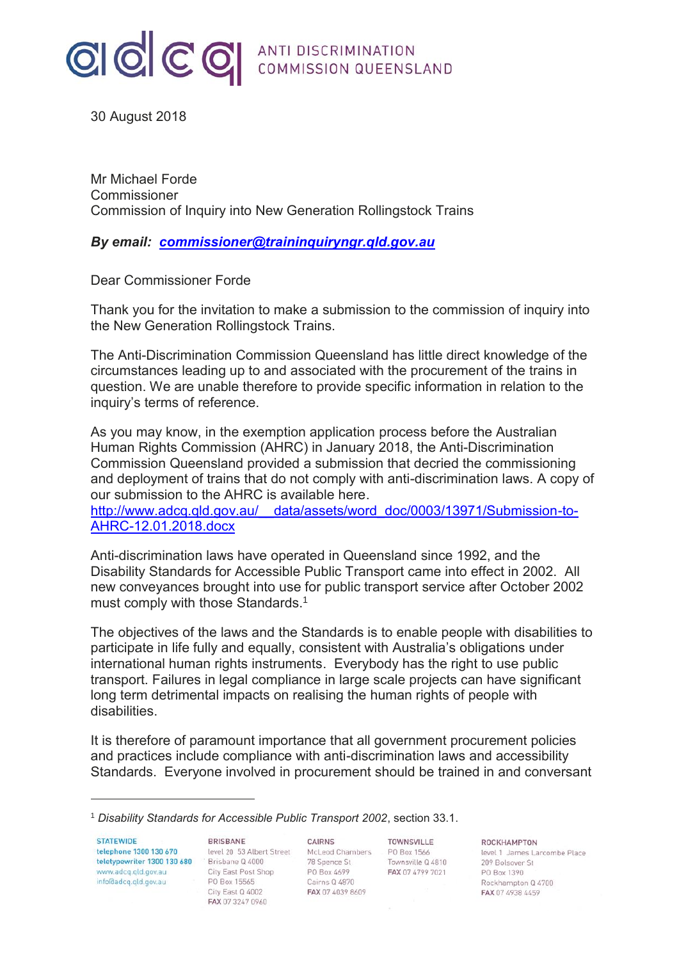

30 August 2018

Mr Michael Forde Commissioner Commission of Inquiry into New Generation Rollingstock Trains

*By email: [commissioner@traininquiryngr.qld.gov.au](mailto:commissioner@traininquiryngr.qld.gov.au)*

Dear Commissioner Forde

Thank you for the invitation to make a submission to the commission of inquiry into the New Generation Rollingstock Trains.

The Anti-Discrimination Commission Queensland has little direct knowledge of the circumstances leading up to and associated with the procurement of the trains in question. We are unable therefore to provide specific information in relation to the inquiry's terms of reference.

As you may know, in the exemption application process before the Australian Human Rights Commission (AHRC) in January 2018, the Anti-Discrimination Commission Queensland provided a submission that decried the commissioning and deployment of trains that do not comply with anti-discrimination laws. A copy of our submission to the AHRC is available here.

http://www.adcq.qld.gov.au/ data/assets/word\_doc/0003/13971/Submission-to-[AHRC-12.01.2018.docx](http://www.adcq.qld.gov.au/__data/assets/word_doc/0003/13971/Submission-to-AHRC-12.01.2018.docx)

Anti-discrimination laws have operated in Queensland since 1992, and the Disability Standards for Accessible Public Transport came into effect in 2002. All new conveyances brought into use for public transport service after October 2002 must comply with those Standards.<sup>1</sup>

The objectives of the laws and the Standards is to enable people with disabilities to participate in life fully and equally, consistent with Australia's obligations under international human rights instruments. Everybody has the right to use public transport. Failures in legal compliance in large scale projects can have significant long term detrimental impacts on realising the human rights of people with disabilities.

It is therefore of paramount importance that all government procurement policies and practices include compliance with anti-discrimination laws and accessibility Standards. Everyone involved in procurement should be trained in and conversant

**STATEWIDE** telephone 1300 130 670 teletypewriter 1300 130 680 Brisbane Q 4000 www.adcq.qld.gov.au<br>info@adco.gld.gov.au info@adcq.qld.gov.au

-

**BRISBANE** level 20 53 Albert Street City East Post Shop PO Box 15565 City East Q 4002 FAX 07 3247 0960

CAIRNS McLeod Chambers PO Box 1566 78 Spence St PO Box 4699 Cairns Q 4870 FAX 07 4039 8609

TOWNSVILLE Townsville Q 4810 FAX 07 4799 7021

ROCKHAMPTON

level 1 James Larcombe Place 209 Bolsover St PO Box 1390 Rockhampton Q 4700 FAX 07 4938 4459

<sup>1</sup> *Disability Standards for Accessible Public Transport 2002*, section 33.1.